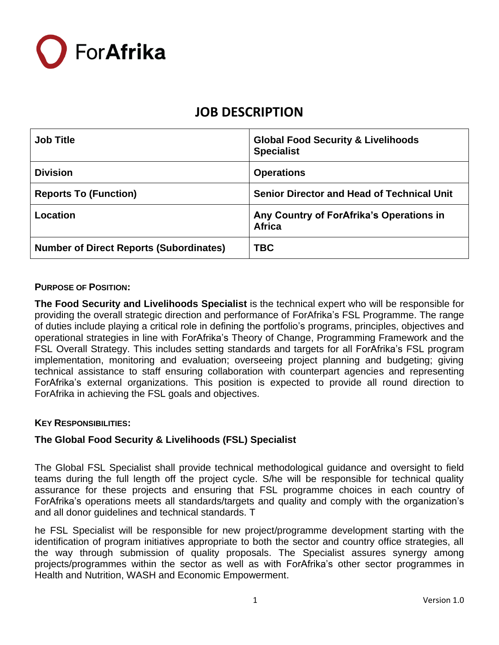

| <b>Job Title</b>                               | <b>Global Food Security &amp; Livelihoods</b><br><b>Specialist</b> |
|------------------------------------------------|--------------------------------------------------------------------|
| <b>Division</b>                                | <b>Operations</b>                                                  |
| <b>Reports To (Function)</b>                   | <b>Senior Director and Head of Technical Unit</b>                  |
| Location                                       | Any Country of ForAfrika's Operations in<br><b>Africa</b>          |
| <b>Number of Direct Reports (Subordinates)</b> | <b>TBC</b>                                                         |

#### **PURPOSE OF POSITION:**

**The Food Security and Livelihoods Specialist** is the technical expert who will be responsible for providing the overall strategic direction and performance of ForAfrika's FSL Programme. The range of duties include playing a critical role in defining the portfolio's programs, principles, objectives and operational strategies in line with ForAfrika's Theory of Change, Programming Framework and the FSL Overall Strategy. This includes setting standards and targets for all ForAfrika's FSL program implementation, monitoring and evaluation; overseeing project planning and budgeting; giving technical assistance to staff ensuring collaboration with counterpart agencies and representing ForAfrika's external organizations. This position is expected to provide all round direction to ForAfrika in achieving the FSL goals and objectives.

#### **KEY RESPONSIBILITIES:**

### **The Global Food Security & Livelihoods (FSL) Specialist**

The Global FSL Specialist shall provide technical methodological guidance and oversight to field teams during the full length off the project cycle. S/he will be responsible for technical quality assurance for these projects and ensuring that FSL programme choices in each country of ForAfrika's operations meets all standards/targets and quality and comply with the organization's and all donor guidelines and technical standards. T

he FSL Specialist will be responsible for new project/programme development starting with the identification of program initiatives appropriate to both the sector and country office strategies, all the way through submission of quality proposals. The Specialist assures synergy among projects/programmes within the sector as well as with ForAfrika's other sector programmes in Health and Nutrition, WASH and Economic Empowerment.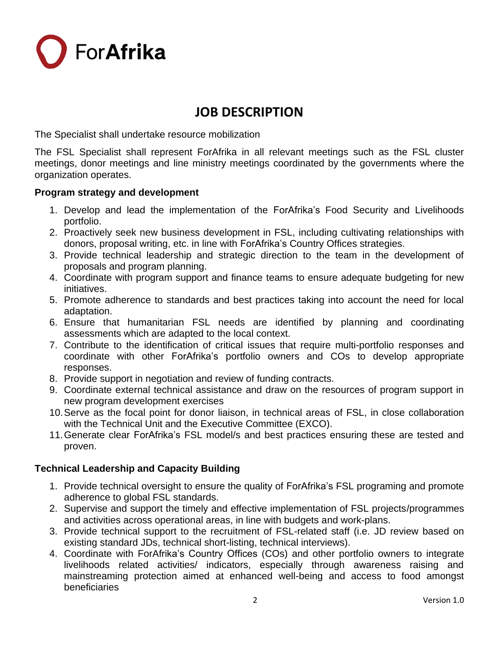ForAfrika

# **JOB DESCRIPTION**

The Specialist shall undertake resource mobilization

The FSL Specialist shall represent ForAfrika in all relevant meetings such as the FSL cluster meetings, donor meetings and line ministry meetings coordinated by the governments where the organization operates.

### **Program strategy and development**

- 1. Develop and lead the implementation of the ForAfrika's Food Security and Livelihoods portfolio.
- 2. Proactively seek new business development in FSL, including cultivating relationships with donors, proposal writing, etc. in line with ForAfrika's Country Offices strategies.
- 3. Provide technical leadership and strategic direction to the team in the development of proposals and program planning.
- 4. Coordinate with program support and finance teams to ensure adequate budgeting for new initiatives.
- 5. Promote adherence to standards and best practices taking into account the need for local adaptation.
- 6. Ensure that humanitarian FSL needs are identified by planning and coordinating assessments which are adapted to the local context.
- 7. Contribute to the identification of critical issues that require multi-portfolio responses and coordinate with other ForAfrika's portfolio owners and COs to develop appropriate responses.
- 8. Provide support in negotiation and review of funding contracts.
- 9. Coordinate external technical assistance and draw on the resources of program support in new program development exercises
- 10.Serve as the focal point for donor liaison, in technical areas of FSL, in close collaboration with the Technical Unit and the Executive Committee (EXCO).
- 11.Generate clear ForAfrika's FSL model/s and best practices ensuring these are tested and proven.

### **Technical Leadership and Capacity Building**

- 1. Provide technical oversight to ensure the quality of ForAfrika's FSL programing and promote adherence to global FSL standards.
- 2. Supervise and support the timely and effective implementation of FSL projects/programmes and activities across operational areas, in line with budgets and work-plans.
- 3. Provide technical support to the recruitment of FSL-related staff (i.e. JD review based on existing standard JDs, technical short-listing, technical interviews).
- 4. Coordinate with ForAfrika's Country Offices (COs) and other portfolio owners to integrate livelihoods related activities/ indicators, especially through awareness raising and mainstreaming protection aimed at enhanced well-being and access to food amongst beneficiaries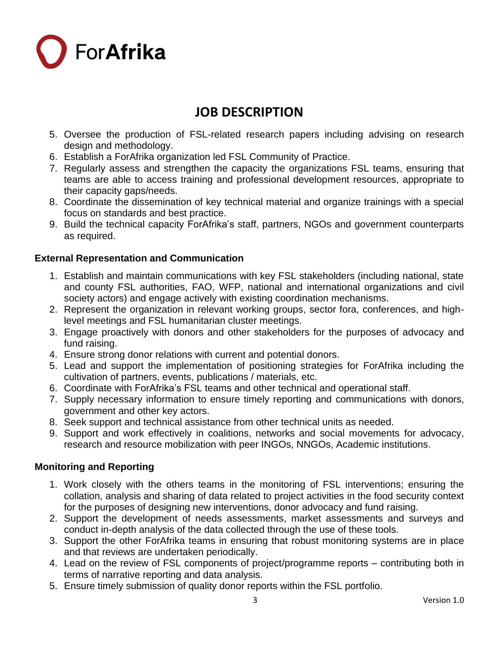

- 5. Oversee the production of FSL-related research papers including advising on research design and methodology.
- 6. Establish a ForAfrika organization led FSL Community of Practice.
- 7. Regularly assess and strengthen the capacity the organizations FSL teams, ensuring that teams are able to access training and professional development resources, appropriate to their capacity gaps/needs.
- 8. Coordinate the dissemination of key technical material and organize trainings with a special focus on standards and best practice.
- 9. Build the technical capacity ForAfrika's staff, partners, NGOs and government counterparts as required.

### **External Representation and Communication**

- 1. Establish and maintain communications with key FSL stakeholders (including national, state and county FSL authorities, FAO, WFP, national and international organizations and civil society actors) and engage actively with existing coordination mechanisms.
- 2. Represent the organization in relevant working groups, sector fora, conferences, and highlevel meetings and FSL humanitarian cluster meetings.
- 3. Engage proactively with donors and other stakeholders for the purposes of advocacy and fund raising.
- 4. Ensure strong donor relations with current and potential donors.
- 5. Lead and support the implementation of positioning strategies for ForAfrika including the cultivation of partners, events, publications / materials, etc.
- 6. Coordinate with ForAfrika's FSL teams and other technical and operational staff.
- 7. Supply necessary information to ensure timely reporting and communications with donors, government and other key actors.
- 8. Seek support and technical assistance from other technical units as needed.
- 9. Support and work effectively in coalitions, networks and social movements for advocacy, research and resource mobilization with peer INGOs, NNGOs, Academic institutions.

### **Monitoring and Reporting**

- 1. Work closely with the others teams in the monitoring of FSL interventions; ensuring the collation, analysis and sharing of data related to project activities in the food security context for the purposes of designing new interventions, donor advocacy and fund raising.
- 2. Support the development of needs assessments, market assessments and surveys and conduct in-depth analysis of the data collected through the use of these tools.
- 3. Support the other ForAfrika teams in ensuring that robust monitoring systems are in place and that reviews are undertaken periodically.
- 4. Lead on the review of FSL components of project/programme reports contributing both in terms of narrative reporting and data analysis.
- 5. Ensure timely submission of quality donor reports within the FSL portfolio.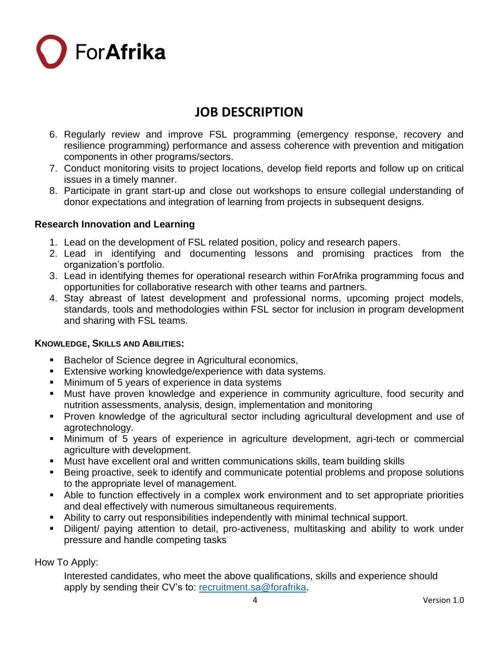

- 6. Regularly review and improve FSL programming (emergency response, recovery and resilience programming) performance and assess coherence with prevention and mitigation components in other programs/sectors.
- 7. Conduct monitoring visits to project locations, develop field reports and follow up on critical issues in a timely manner.
- 8. Participate in grant start-up and close out workshops to ensure collegial understanding of donor expectations and integration of learning from projects in subsequent designs.

### **Research Innovation and Learning**

- 1. Lead on the development of FSL related position, policy and research papers.
- 2. Lead in identifying and documenting lessons and promising practices from the organization's portfolio.
- 3. Lead in identifying themes for operational research within ForAfrika programming focus and opportunities for collaborative research with other teams and partners.
- 4. Stay abreast of latest development and professional norms, upcoming project models, standards, tools and methodologies within FSL sector for inclusion in program development and sharing with FSL teams.

### **KNOWLEDGE, SKILLS AND ABILITIES:**

- Bachelor of Science degree in Agricultural economics,
- **Extensive working knowledge/experience with data systems.**
- Minimum of 5 years of experience in data systems
- **■** Must have proven knowledge and experience in community agriculture, food security and nutrition assessments, analysis, design, implementation and monitoring
- Proven knowledge of the agricultural sector including agricultural development and use of agrotechnology.
- **■** Minimum of 5 years of experience in agriculture development, agri-tech or commercial agriculture with development.
- Must have excellent oral and written communications skills, team building skills
- Being proactive, seek to identify and communicate potential problems and propose solutions to the appropriate level of management.
- Able to function effectively in a complex work environment and to set appropriate priorities and deal effectively with numerous simultaneous requirements.
- Ability to carry out responsibilities independently with minimal technical support.
- Diligent/ paying attention to detail, pro-activeness, multitasking and ability to work under pressure and handle competing tasks

How To Apply:

Interested candidates, who meet the above qualifications, skills and experience should apply by sending their CV's to: [recruitment.sa@forafrika.](mailto:recruitment.sa@forafrika)